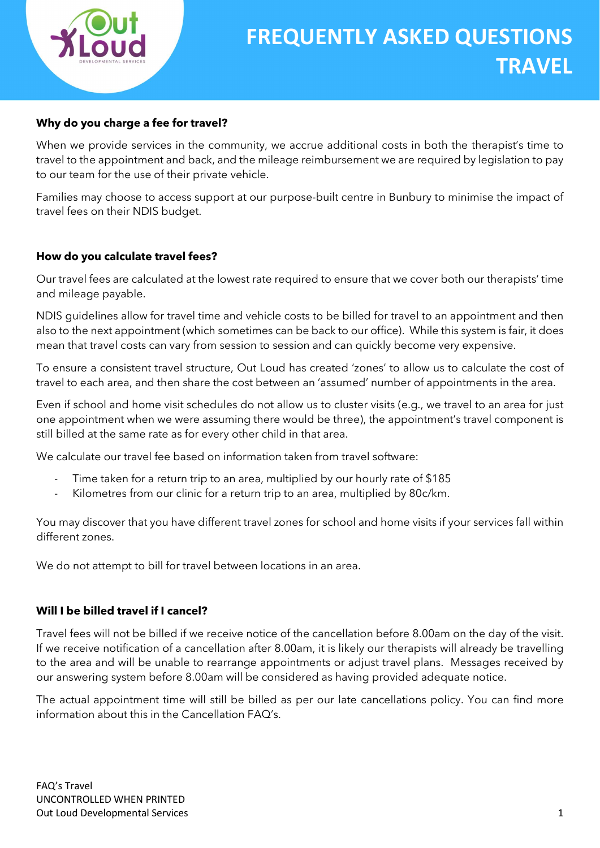

# Why do you charge a fee for travel?

When we provide services in the community, we accrue additional costs in both the therapist's time to travel to the appointment and back, and the mileage reimbursement we are required by legislation to pay to our team for the use of their private vehicle.

Families may choose to access support at our purpose-built centre in Bunbury to minimise the impact of travel fees on their NDIS budget.

#### How do you calculate travel fees?

Our travel fees are calculated at the lowest rate required to ensure that we cover both our therapists' time and mileage payable.

NDIS guidelines allow for travel time and vehicle costs to be billed for travel to an appointment and then also to the next appointment (which sometimes can be back to our office). While this system is fair, it does mean that travel costs can vary from session to session and can quickly become very expensive.

To ensure a consistent travel structure, Out Loud has created 'zones' to allow us to calculate the cost of travel to each area, and then share the cost between an 'assumed' number of appointments in the area.

Even if school and home visit schedules do not allow us to cluster visits (e.g., we travel to an area for just one appointment when we were assuming there would be three), the appointment's travel component is still billed at the same rate as for every other child in that area.

We calculate our travel fee based on information taken from travel software:

- Time taken for a return trip to an area, multiplied by our hourly rate of \$185
- Kilometres from our clinic for a return trip to an area, multiplied by 80c/km.

You may discover that you have different travel zones for school and home visits if your services fall within different zones.

We do not attempt to bill for travel between locations in an area.

#### Will I be billed travel if I cancel?

Travel fees will not be billed if we receive notice of the cancellation before 8.00am on the day of the visit. If we receive notification of a cancellation after 8.00am, it is likely our therapists will already be travelling to the area and will be unable to rearrange appointments or adjust travel plans. Messages received by our answering system before 8.00am will be considered as having provided adequate notice.

The actual appointment time will still be billed as per our late cancellations policy. You can find more information about this in the Cancellation FAQ's.